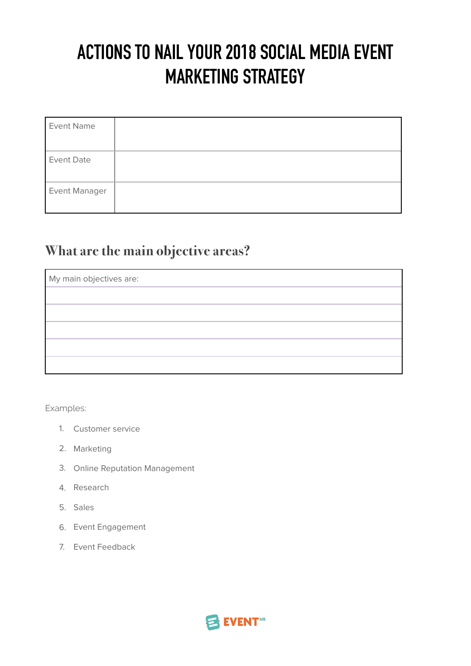# **ACTIONS TO NAIL YOUR 2018 SOCIAL MEDIA EVENT MARKETING STRATEGY**

| <b>Event Name</b> |  |
|-------------------|--|
| <b>Event Date</b> |  |
| Event Manager     |  |

## **What are the main objective areas?**

| My main objectives are: |  |  |
|-------------------------|--|--|
|                         |  |  |
|                         |  |  |
|                         |  |  |
|                         |  |  |
|                         |  |  |

Examples:

- 1. Customer service
- 2. Marketing
- 3. Online Reputation Management
- 4. Research
- 5. Sales
- 6. Event Engagement
- 7. Event Feedback

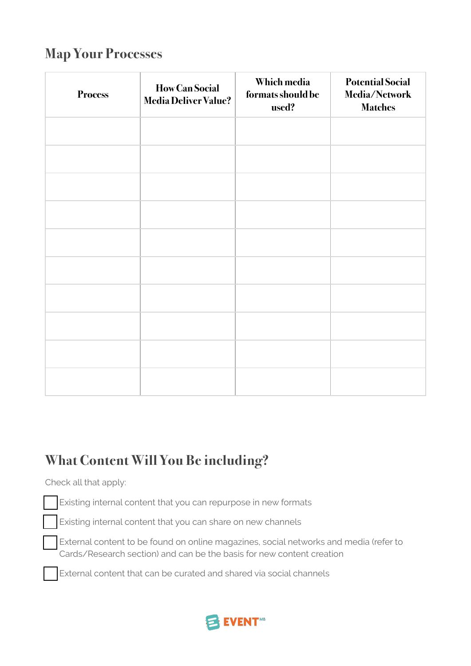#### **Map Your Processes**

| <b>Process</b> | <b>How Can Social</b><br><b>Media Deliver Value?</b> | Which media<br>formats should be<br>used? | <b>Potential Social</b><br>Media/Network<br><b>Matches</b> |
|----------------|------------------------------------------------------|-------------------------------------------|------------------------------------------------------------|
|                |                                                      |                                           |                                                            |
|                |                                                      |                                           |                                                            |
|                |                                                      |                                           |                                                            |
|                |                                                      |                                           |                                                            |
|                |                                                      |                                           |                                                            |
|                |                                                      |                                           |                                                            |
|                |                                                      |                                           |                                                            |
|                |                                                      |                                           |                                                            |
|                |                                                      |                                           |                                                            |
|                |                                                      |                                           |                                                            |

### **What Content Will You Be including?**

#### Check all that apply:

Existing internal content that you can repurpose in new formats

Existing internal content that you can share on new channels

External content to be found on online magazines, social networks and media (refer to Cards/Research section) and can be the basis for new content creation

External content that can be curated and shared via social channels

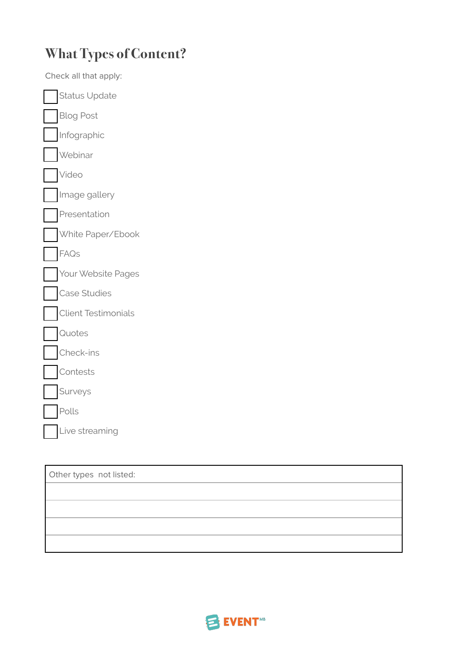# **What Types of Content?**

| Check all that apply:      |  |
|----------------------------|--|
| <b>Status Update</b>       |  |
| <b>Blog Post</b>           |  |
| Infographic                |  |
| Webinar                    |  |
| Video                      |  |
| Image gallery              |  |
| Presentation               |  |
| White Paper/Ebook          |  |
| FAQs                       |  |
| Your Website Pages         |  |
| Case Studies               |  |
| <b>Client Testimonials</b> |  |
| Quotes                     |  |
| Check-ins                  |  |
| Contests                   |  |
| Surveys                    |  |
| Polls                      |  |
| Live streaming             |  |
|                            |  |

| Other types not listed: |  |
|-------------------------|--|
|                         |  |
|                         |  |
|                         |  |
|                         |  |

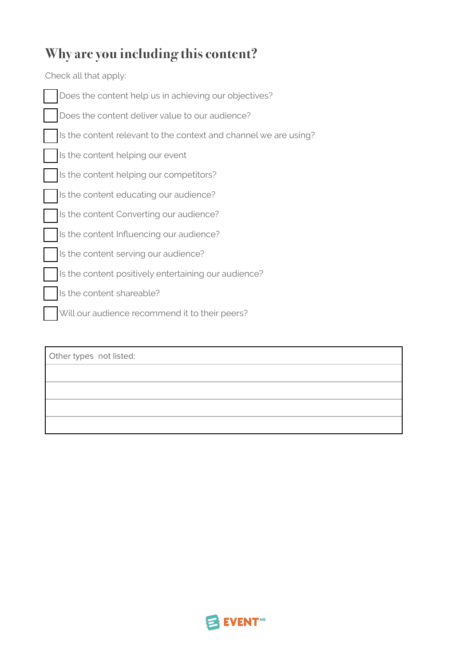## **Why are you including this content?**

Check all that apply:

| Does the content help us in achieving our objectives?            |
|------------------------------------------------------------------|
| Does the content deliver value to our audience?                  |
| Is the content relevant to the context and channel we are using? |
| Is the content helping our event                                 |
| Is the content helping our competitors?                          |
| Is the content educating our audience?                           |
| Is the content Converting our audience?                          |
| Is the content Influencing our audience?                         |
| Is the content serving our audience?                             |
| Is the content positively entertaining our audience?             |
| Is the content shareable?                                        |
| Will our audience recommend it to their peers?                   |
|                                                                  |

Other types not listed:

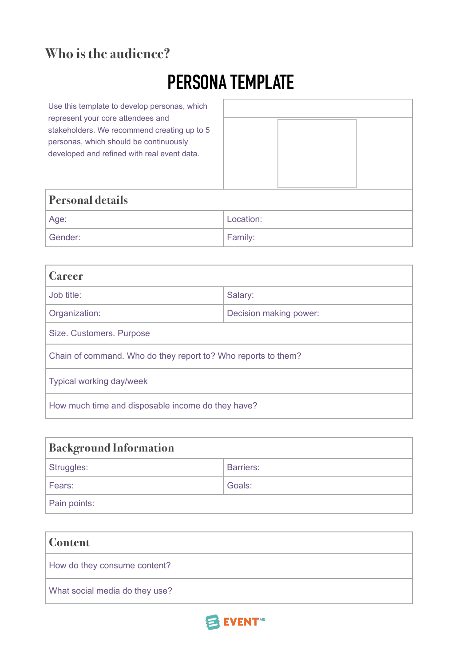#### **Who is the audience?**

# **PERSONA TEMPLATE**

Use this template to develop personas, which represent your core attendees and stakeholders. We recommend creating up to 5 personas, which should be continuously developed and refined with real event data.

| <b>Personal details</b> |           |  |
|-------------------------|-----------|--|
| Age:                    | Location: |  |
| Gender:                 | Family:   |  |

| <b>Career</b>                                                 |                        |  |
|---------------------------------------------------------------|------------------------|--|
| Job title:                                                    | Salary:                |  |
| Organization:                                                 | Decision making power: |  |
| Size. Customers. Purpose                                      |                        |  |
| Chain of command. Who do they report to? Who reports to them? |                        |  |
| Typical working day/week                                      |                        |  |
| How much time and disposable income do they have?             |                        |  |

| <b>Background Information</b> |                  |  |
|-------------------------------|------------------|--|
| Struggles:                    | <b>Barriers:</b> |  |
| Fears:                        | Goals:           |  |
| Pain points:                  |                  |  |

| <b>Content</b>                 |
|--------------------------------|
| How do they consume content?   |
| What social media do they use? |

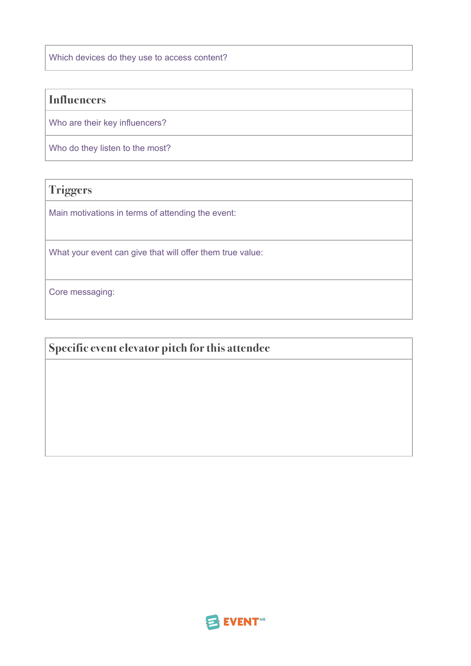Which devices do they use to access content?

#### **Influencers**

Who are their key influencers?

Who do they listen to the most?

**Triggers**

Main motivations in terms of attending the event:

What your event can give that will offer them true value:

Core messaging:

**Specific event elevator pitch for this attendee**